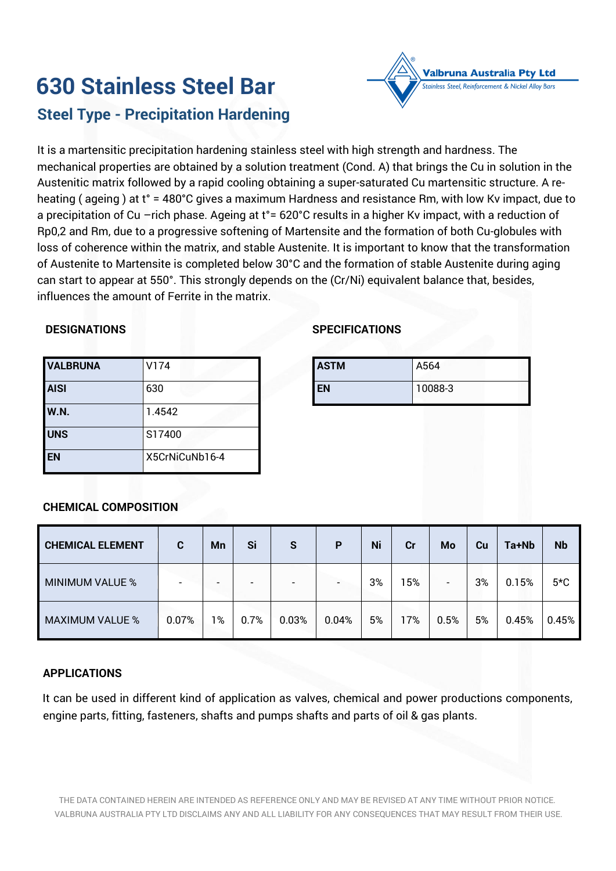# **630 Stainless Steel Bar Steel Type - Precipitation Hardening**

It is a martensitic precipitation hardening stainless steel with high strength and hardness. The mechanical properties are obtained by a solution treatment (Cond. A) that brings the Cu in solution in the Austenitic matrix followed by a rapid cooling obtaining a super-saturated Cu martensitic structure. A reheating ( ageing ) at t° = 480°C gives a maximum Hardness and resistance Rm, with low Kv impact, due to a precipitation of Cu –rich phase. Ageing at t<sup>o</sup> = 620°C results in a higher Kv impact, with a reduction of Rp0,2 and Rm, due to a progressive softening of Martensite and the formation of both Cu-globules with loss of coherence within the matrix, and stable Austenite. It is important to know that the transformation of Austenite to Martensite is completed below 30°C and the formation of stable Austenite during aging can start to appear at 550°. This strongly depends on the (Cr/Ni) equivalent balance that, besides, influences the amount of Ferrite in the matrix.

## **DESIGNATIONS**

| <b>VALBRUNA</b> | V174           |
|-----------------|----------------|
| <b>AISI</b>     | 630            |
| <b>W.N.</b>     | 1.4542         |
| <b>UNS</b>      | S17400         |
| <b>EN</b>       | X5CrNiCuNb16-4 |

## **SPECIFICATIONS**

| <b>ASTM</b> | A564    |
|-------------|---------|
| EN          | 10088-3 |

**Valbruna Australia Pty Ltd** nless Steel, Reinforcement & Nickel Alloy Bars

## **CHEMICAL COMPOSITION**

| <b>CHEMICAL ELEMENT</b> | C.    | Mn | Si   | S     | P                        | Ni | cr  | Mo                       | Cu | Ta+Nb | <b>Nb</b> |
|-------------------------|-------|----|------|-------|--------------------------|----|-----|--------------------------|----|-------|-----------|
| <b>MINIMUM VALUE %</b>  |       |    | -    |       | $\overline{\phantom{a}}$ | 3% | 5%  | $\overline{\phantom{0}}$ | 3% | 0.15% | $5*C$     |
| <b>MAXIMUM VALUE %</b>  | 0.07% | 1% | 0.7% | 0.03% | 0.04%                    | 5% | 17% | 0.5%                     | 5% | 0.45% | 0.45%     |

## **APPLICATIONS**

It can be used in different kind of application as valves, chemical and power productions components, engine parts, fitting, fasteners, shafts and pumps shafts and parts of oil & gas plants.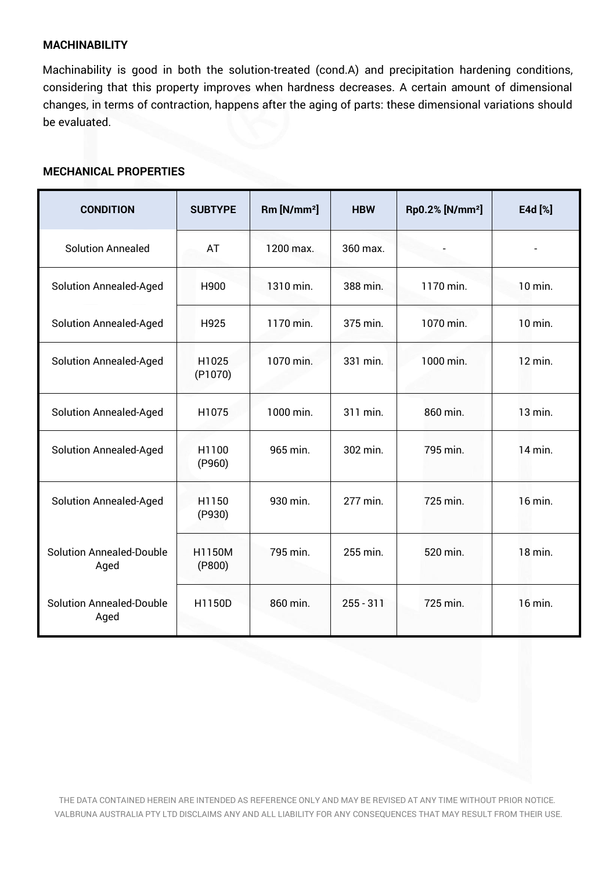## **MACHINABILITY**

Machinability is good in both the solution-treated (cond.A) and precipitation hardening conditions, considering that this property improves when hardness decreases. A certain amount of dimensional changes, in terms of contraction, happens after the aging of parts: these dimensional variations should be evaluated.

#### **MECHANICAL PROPERTIES**

| <b>CONDITION</b>                        | <b>SUBTYPE</b>   | Rm [N/mm <sup>2</sup> ] | <b>HBW</b>  | Rp0.2% [N/mm <sup>2</sup> ] | E4d [%] |
|-----------------------------------------|------------------|-------------------------|-------------|-----------------------------|---------|
| <b>Solution Annealed</b>                | AT               | 1200 max.               | 360 max.    |                             |         |
| <b>Solution Annealed-Aged</b>           | H900             | 1310 min.               | 388 min.    | 1170 min.                   | 10 min. |
| <b>Solution Annealed-Aged</b>           | H925             | 1170 min.               | 375 min.    | 1070 min.                   | 10 min. |
| <b>Solution Annealed-Aged</b>           | H1025<br>(P1070) | 1070 min.               | 331 min.    | 1000 min.                   | 12 min. |
| <b>Solution Annealed-Aged</b>           | H1075            | 1000 min.               | 311 min.    | 860 min.                    | 13 min. |
| <b>Solution Annealed-Aged</b>           | H1100<br>(P960)  | 965 min.                | 302 min.    | 795 min.                    | 14 min. |
| <b>Solution Annealed-Aged</b>           | H1150<br>(P930)  | 930 min.                | 277 min.    | 725 min.                    | 16 min. |
| <b>Solution Annealed-Double</b><br>Aged | H1150M<br>(P800) | 795 min.                | 255 min.    | 520 min.                    | 18 min. |
| <b>Solution Annealed-Double</b><br>Aged | H1150D           | 860 min.                | $255 - 311$ | 725 min.                    | 16 min. |

THE DATA CONTAINED HEREIN ARE INTENDED AS REFERENCE ONLY AND MAY BE REVISED AT ANY TIME WITHOUT PRIOR NOTICE. VALBRUNA AUSTRALIA PTY LTD DISCLAIMS ANY AND ALL LIABILITY FOR ANY CONSEQUENCES THAT MAY RESULT FROM THEIR USE.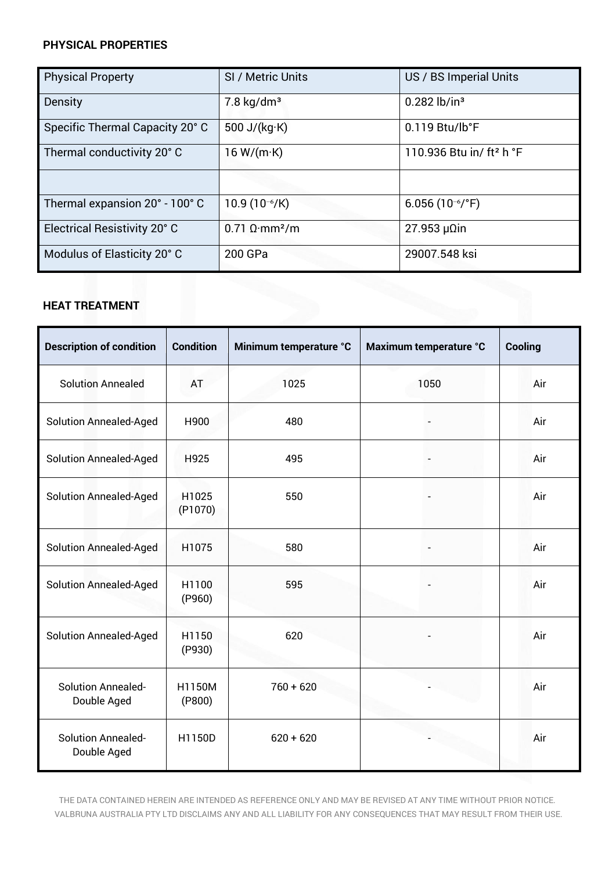## **PHYSICAL PROPERTIES**

| <b>Physical Property</b>        | SI / Metric Units                        | US / BS Imperial Units               |
|---------------------------------|------------------------------------------|--------------------------------------|
| <b>Density</b>                  | $7.8 \text{ kg/dm}^3$                    | $0.282$ lb/in <sup>3</sup>           |
| Specific Thermal Capacity 20° C | 500 J/ $(kg·K)$                          | $0.119$ Btu/lb°F                     |
| Thermal conductivity 20°C       | 16 W/(m·K)                               | 110.936 Btu in/ ft <sup>2</sup> h °F |
|                                 |                                          |                                      |
| Thermal expansion 20° - 100° C  | $10.9(10^{-6}/K)$                        | 6.056 $(10^{-6}/^{\circ}F)$          |
| Electrical Resistivity 20° C    | $0.71 \Omega \cdot \text{mm}^2/\text{m}$ | $27.953 \mu$ Qin                     |
| Modulus of Elasticity 20° C     | 200 GPa                                  | 29007.548 ksi                        |

# **HEAT TREATMENT**

| <b>HEAT TREATMENT</b>                    |                   |                        |                        |         |  |
|------------------------------------------|-------------------|------------------------|------------------------|---------|--|
| <b>Description of condition</b>          | <b>Condition</b>  | Minimum temperature °C | Maximum temperature °C | Cooling |  |
| <b>Solution Annealed</b>                 | AT                | 1025                   | 1050                   | Air     |  |
| <b>Solution Annealed-Aged</b>            | H900              | 480                    |                        | Air     |  |
| <b>Solution Annealed-Aged</b>            | H925              | 495                    |                        | Air     |  |
| <b>Solution Annealed-Aged</b>            | H1025<br>(P1070)  | 550                    |                        | Air     |  |
| <b>Solution Annealed-Aged</b>            | H1075             | 580                    |                        | Air     |  |
| <b>Solution Annealed-Aged</b>            | H1100<br>(P960)   | 595                    |                        | Air     |  |
| <b>Solution Annealed-Aged</b>            | H1150<br>(P930)   | 620                    |                        | Air     |  |
| <b>Solution Annealed-</b><br>Double Aged | H1150M<br>( P800) | $760 + 620$            |                        | Air     |  |
| <b>Solution Annealed-</b><br>Double Aged | H1150D            | $620 + 620$            |                        | Air     |  |

THE DATA CONTAINED HEREIN ARE INTENDED AS REFERENCE ONLY AND MAY BE REVISED AT ANY TIME WITHOUT PRIOR NOTICE. VALBRUNA AUSTRALIA PTY LTD DISCLAIMS ANY AND ALL LIABILITY FOR ANY CONSEQUENCES THAT MAY RESULT FROM THEIR USE.